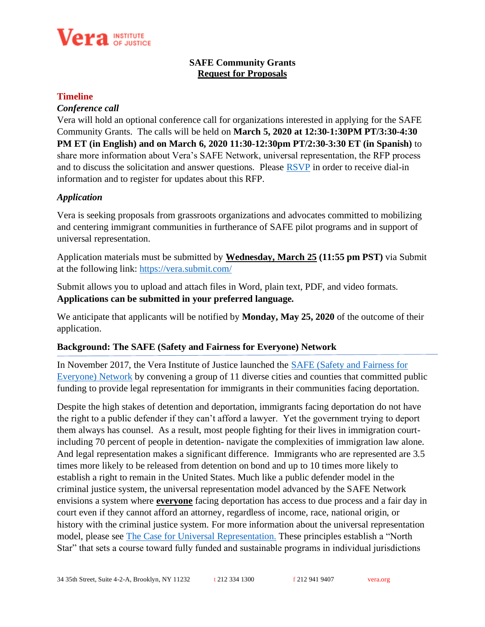

### **SAFE Community Grants Request for Proposals**

#### **Timeline**

### *Conference call*

Vera will hold an optional conference call for organizations interested in applying for the SAFE Community Grants. The calls will be held on **March 5, 2020 at 12:30-1:30PM PT/3:30-4:30 PM ET** (in English) and on March 6, 2020 11:30-12:30pm PT/2:30-3:30 ET (in Spanish) to share more information about Vera's SAFE Network, universal representation, the RFP process and to discuss the solicitation and answer questions. Please [RSVP](https://docs.google.com/forms/d/e/1FAIpQLSf-9CaW8aUnUMzKQxuRy7oXz6UUr3PeSV-JxSXAuDYrMs0NjA/viewform?usp=sf_link) in order to receive dial-in information and to register for updates about this RFP.

## *Application*

Vera is seeking proposals from grassroots organizations and advocates committed to mobilizing and centering immigrant communities in furtherance of SAFE pilot programs and in support of universal representation.

Application materials must be submitted by **Wednesday, March 25 (11:55 pm PST)** via Submit at the following link: <https://vera.submit.com/>

Submit allows you to upload and attach files in Word, plain text, PDF, and video formats. **Applications can be submitted in your preferred language.**

We anticipate that applicants will be notified by **Monday, May 25, 2020** of the outcome of their application.

#### **Background: The SAFE (Safety and Fairness for Everyone) Network**

In November 2017, the Vera Institute of Justice launched the **SAFE** (Safety and Fairness for [Everyone\) Network](https://www.vera.org/projects/safe-network) by convening a group of 11 diverse cities and counties that committed public funding to provide legal representation for immigrants in their communities facing deportation.

Despite the high stakes of detention and deportation, immigrants facing deportation do not have the right to a public defender if they can't afford a lawyer. Yet the government trying to deport them always has counsel. As a result, most people fighting for their lives in immigration courtincluding 70 percent of people in detention- navigate the complexities of immigration law alone. And legal representation makes a significant difference. Immigrants who are represented are 3.5 times more likely to be released from detention on bond and up to 10 times more likely to establish a right to remain in the United States. Much like a public defender model in the criminal justice system, the universal representation model advanced by the SAFE Network envisions a system where **everyone** facing deportation has access to due process and a fair day in court even if they cannot afford an attorney, regardless of income, race, national origin, or history with the criminal justice system. For more information about the universal representation model, please see [The Case for Universal](https://www.vera.org/advancing-universal-representation-toolkit/the-case-for-universal-representation-1) Representation. These principles establish a "North Star" that sets a course toward fully funded and sustainable programs in individual jurisdictions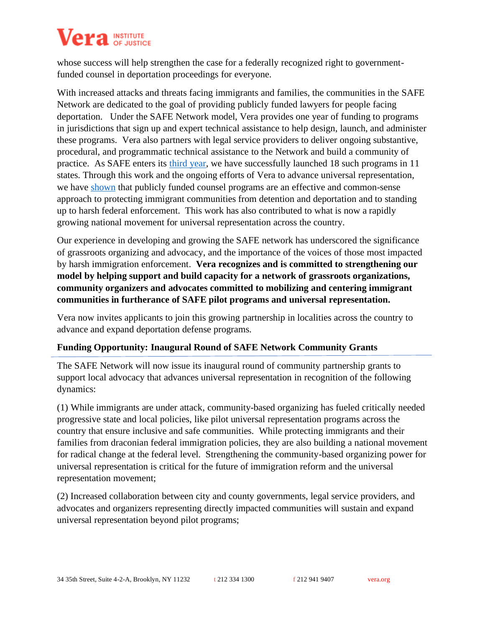whose success will help strengthen the case for a federally recognized right to governmentfunded counsel in deportation proceedings for everyone.

With increased attacks and threats facing immigrants and families, the communities in the SAFE Network are dedicated to the goal of providing publicly funded lawyers for people facing deportation. Under the SAFE Network model, Vera provides one year of funding to programs in jurisdictions that sign up and expert technical assistance to help design, launch, and administer these programs. Vera also partners with legal service providers to deliver ongoing substantive, procedural, and programmatic technical assistance to the Network and build a community of practice. As SAFE enters its [third year,](https://www.vera.org/newsroom/safe-network-expands-to-18-communities-fighting-for-legal-representation-for-immigrants-facing-deportation) we have successfully launched 18 such programs in 11 states. Through this work and the ongoing efforts of Vera to advance universal representation, we have [shown](https://www.vera.org/downloads/publications/due-process-for-all-year-2-safe-network.pdf) that publicly funded counsel programs are an effective and common-sense approach to protecting immigrant communities from detention and deportation and to standing up to harsh federal enforcement. This work has also contributed to what is now a rapidly growing national movement for universal representation across the country.

Our experience in developing and growing the SAFE network has underscored the significance of grassroots organizing and advocacy, and the importance of the voices of those most impacted by harsh immigration enforcement. **Vera recognizes and is committed to strengthening our model by helping support and build capacity for a network of grassroots organizations, community organizers and advocates committed to mobilizing and centering immigrant communities in furtherance of SAFE pilot programs and universal representation.**

Vera now invites applicants to join this growing partnership in localities across the country to advance and expand deportation defense programs.

## **Funding Opportunity: Inaugural Round of SAFE Network Community Grants**

The SAFE Network will now issue its inaugural round of community partnership grants to support local advocacy that advances universal representation in recognition of the following dynamics:

(1) While immigrants are under attack, community-based organizing has fueled critically needed progressive state and local policies, like pilot universal representation programs across the country that ensure inclusive and safe communities. While protecting immigrants and their families from draconian federal immigration policies, they are also building a national movement for radical change at the federal level. Strengthening the community-based organizing power for universal representation is critical for the future of immigration reform and the universal representation movement;

(2) Increased collaboration between city and county governments, legal service providers, and advocates and organizers representing directly impacted communities will sustain and expand universal representation beyond pilot programs;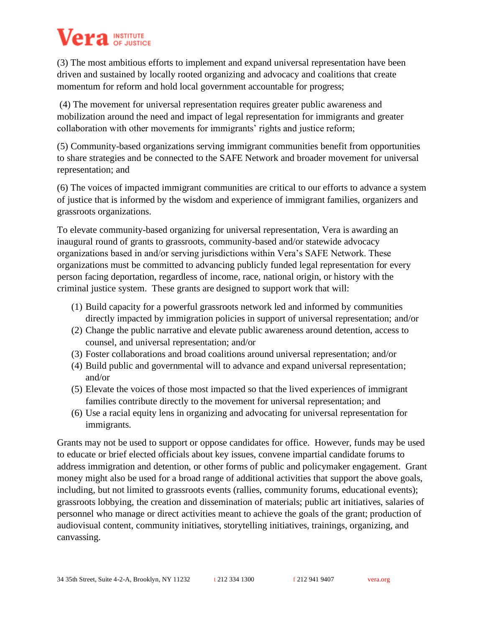(3) The most ambitious efforts to implement and expand universal representation have been driven and sustained by locally rooted organizing and advocacy and coalitions that create momentum for reform and hold local government accountable for progress;

(4) The movement for universal representation requires greater public awareness and mobilization around the need and impact of legal representation for immigrants and greater collaboration with other movements for immigrants' rights and justice reform;

(5) Community-based organizations serving immigrant communities benefit from opportunities to share strategies and be connected to the SAFE Network and broader movement for universal representation; and

(6) The voices of impacted immigrant communities are critical to our efforts to advance a system of justice that is informed by the wisdom and experience of immigrant families, organizers and grassroots organizations.

To elevate community-based organizing for universal representation, Vera is awarding an inaugural round of grants to grassroots, community-based and/or statewide advocacy organizations based in and/or serving jurisdictions within Vera's SAFE Network. These organizations must be committed to advancing publicly funded legal representation for every person facing deportation, regardless of income, race, national origin, or history with the criminal justice system. These grants are designed to support work that will:

- (1) Build capacity for a powerful grassroots network led and informed by communities directly impacted by immigration policies in support of universal representation; and/or
- (2) Change the public narrative and elevate public awareness around detention, access to counsel, and universal representation; and/or
- (3) Foster collaborations and broad coalitions around universal representation; and/or
- (4) Build public and governmental will to advance and expand universal representation; and/or
- (5) Elevate the voices of those most impacted so that the lived experiences of immigrant families contribute directly to the movement for universal representation; and
- (6) Use a racial equity lens in organizing and advocating for universal representation for immigrants.

Grants may not be used to support or oppose candidates for office. However, funds may be used to educate or brief elected officials about key issues, convene impartial candidate forums to address immigration and detention, or other forms of public and policymaker engagement. Grant money might also be used for a broad range of additional activities that support the above goals, including, but not limited to grassroots events (rallies, community forums, educational events); grassroots lobbying, the creation and dissemination of materials; public art initiatives, salaries of personnel who manage or direct activities meant to achieve the goals of the grant; production of audiovisual content, community initiatives, storytelling initiatives, trainings, organizing, and canvassing.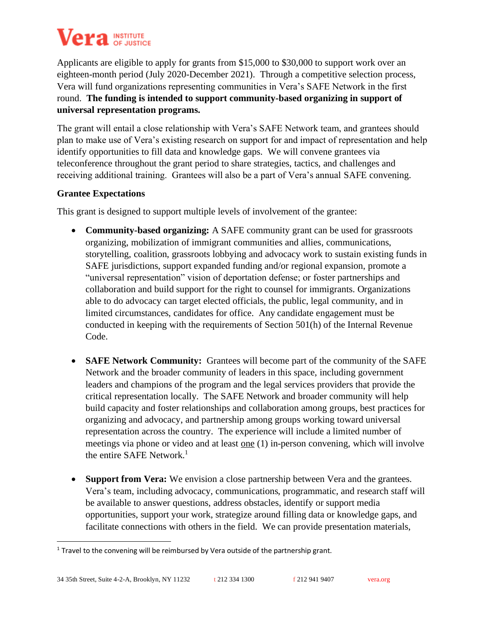# $\mathbf{Vera}$  institute

Applicants are eligible to apply for grants from \$15,000 to \$30,000 to support work over an eighteen-month period (July 2020-December 2021). Through a competitive selection process, Vera will fund organizations representing communities in Vera's SAFE Network in the first round. **The funding is intended to support community-based organizing in support of universal representation programs.**

The grant will entail a close relationship with Vera's SAFE Network team, and grantees should plan to make use of Vera's existing research on support for and impact of representation and help identify opportunities to fill data and knowledge gaps. We will convene grantees via teleconference throughout the grant period to share strategies, tactics, and challenges and receiving additional training. Grantees will also be a part of Vera's annual SAFE convening.

# **Grantee Expectations**

This grant is designed to support multiple levels of involvement of the grantee:

- **Community-based organizing:** A SAFE community grant can be used for grassroots organizing, mobilization of immigrant communities and allies, communications, storytelling, coalition, grassroots lobbying and advocacy work to sustain existing funds in SAFE jurisdictions, support expanded funding and/or regional expansion, promote a "universal representation" vision of deportation defense; or foster partnerships and collaboration and build support for the right to counsel for immigrants. Organizations able to do advocacy can target elected officials, the public, legal community, and in limited circumstances, candidates for office. Any candidate engagement must be conducted in keeping with the requirements of Section 501(h) of the Internal Revenue Code.
- **SAFE Network Community:** Grantees will become part of the community of the SAFE Network and the broader community of leaders in this space, including government leaders and champions of the program and the legal services providers that provide the critical representation locally. The SAFE Network and broader community will help build capacity and foster relationships and collaboration among groups, best practices for organizing and advocacy, and partnership among groups working toward universal representation across the country. The experience will include a limited number of meetings via phone or video and at least <u>one</u> (1) in-person convening, which will involve the entire SAFE Network.<sup>1</sup>
- **Support from Vera:** We envision a close partnership between Vera and the grantees. Vera's team, including advocacy, communications, programmatic, and research staff will be available to answer questions, address obstacles, identify or support media opportunities, support your work, strategize around filling data or knowledge gaps, and facilitate connections with others in the field. We can provide presentation materials,

 $1$  Travel to the convening will be reimbursed by Vera outside of the partnership grant.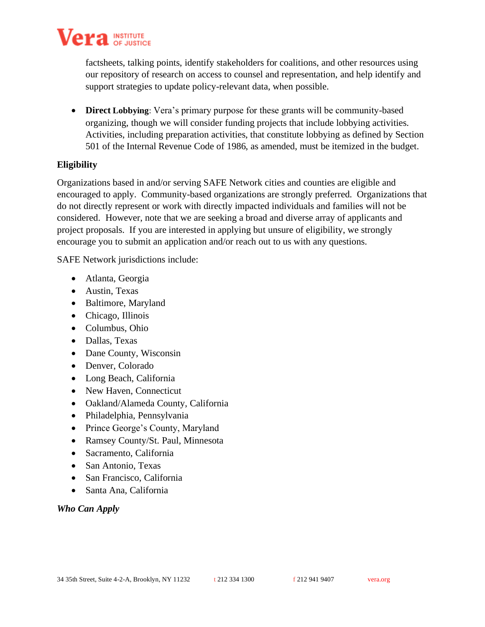

factsheets, talking points, identify stakeholders for coalitions, and other resources using our repository of research on access to counsel and representation, and help identify and support strategies to update policy-relevant data, when possible.

• **Direct Lobbying**: Vera's primary purpose for these grants will be community-based organizing, though we will consider funding projects that include lobbying activities. Activities, including preparation activities, that constitute lobbying as defined by Section 501 of the Internal Revenue Code of 1986, as amended, must be itemized in the budget.

## **Eligibility**

Organizations based in and/or serving SAFE Network cities and counties are eligible and encouraged to apply. Community-based organizations are strongly preferred. Organizations that do not directly represent or work with directly impacted individuals and families will not be considered. However, note that we are seeking a broad and diverse array of applicants and project proposals. If you are interested in applying but unsure of eligibility, we strongly encourage you to submit an application and/or reach out to us with any questions.

SAFE Network jurisdictions include:

- Atlanta, Georgia
- Austin, Texas
- Baltimore, Maryland
- Chicago, Illinois
- Columbus, Ohio
- Dallas, Texas
- Dane County, Wisconsin
- Denver, Colorado
- Long Beach, California
- New Haven, Connecticut
- Oakland/Alameda County, California
- Philadelphia, Pennsylvania
- Prince George's County, Maryland
- Ramsey County/St. Paul, Minnesota
- Sacramento, California
- San Antonio, Texas
- San Francisco, California
- Santa Ana, California

## *Who Can Apply*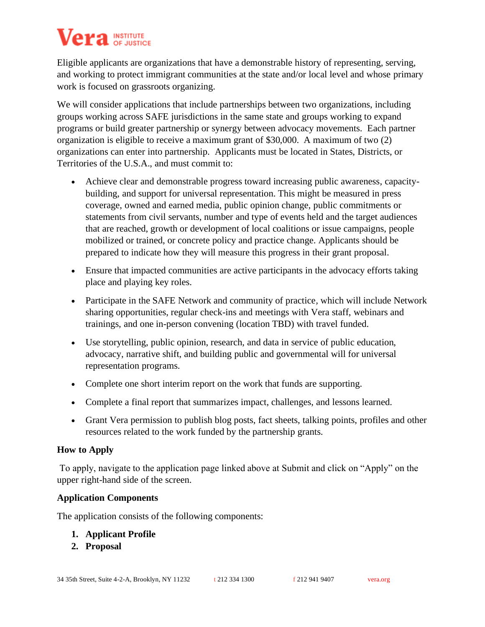Eligible applicants are organizations that have a demonstrable history of representing, serving, and working to protect immigrant communities at the state and/or local level and whose primary work is focused on grassroots organizing.

We will consider applications that include partnerships between two organizations, including groups working across SAFE jurisdictions in the same state and groups working to expand programs or build greater partnership or synergy between advocacy movements. Each partner organization is eligible to receive a maximum grant of \$30,000. A maximum of two (2) organizations can enter into partnership. Applicants must be located in States, Districts, or Territories of the U.S.A., and must commit to:

- Achieve clear and demonstrable progress toward increasing public awareness, capacitybuilding, and support for universal representation. This might be measured in press coverage, owned and earned media, public opinion change, public commitments or statements from civil servants, number and type of events held and the target audiences that are reached, growth or development of local coalitions or issue campaigns, people mobilized or trained, or concrete policy and practice change. Applicants should be prepared to indicate how they will measure this progress in their grant proposal.
- Ensure that impacted communities are active participants in the advocacy efforts taking place and playing key roles.
- Participate in the SAFE Network and community of practice*,* which will include Network sharing opportunities, regular check-ins and meetings with Vera staff, webinars and trainings, and one in-person convening (location TBD) with travel funded.
- Use storytelling, public opinion, research, and data in service of public education, advocacy, narrative shift, and building public and governmental will for universal representation programs.
- Complete one short interim report on the work that funds are supporting.
- Complete a final report that summarizes impact, challenges, and lessons learned.
- Grant Vera permission to publish blog posts, fact sheets, talking points, profiles and other resources related to the work funded by the partnership grants.

# **How to Apply**

To apply, navigate to the application page linked above at Submit and click on "Apply" on the upper right-hand side of the screen.

# **Application Components**

The application consists of the following components:

# **1. Applicant Profile**

**2. Proposal**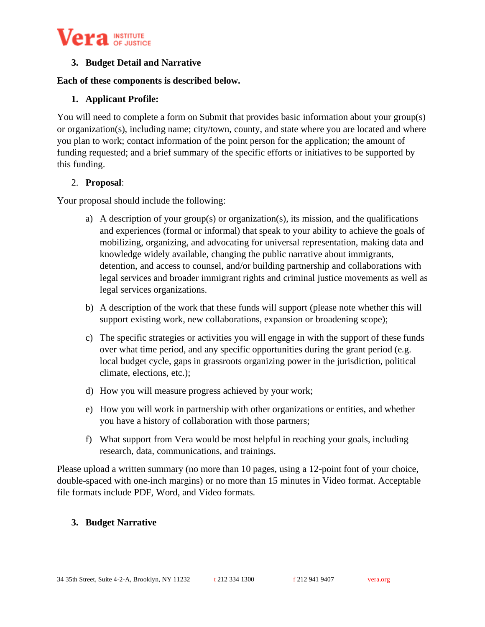

### **3. Budget Detail and Narrative**

#### **Each of these components is described below.**

#### **1. Applicant Profile:**

You will need to complete a form on Submit that provides basic information about your group(s) or organization(s), including name; city/town, county, and state where you are located and where you plan to work; contact information of the point person for the application; the amount of funding requested; and a brief summary of the specific efforts or initiatives to be supported by this funding.

#### 2. **Proposal**:

Your proposal should include the following:

- a) A description of your group(s) or organization(s), its mission, and the qualifications and experiences (formal or informal) that speak to your ability to achieve the goals of mobilizing, organizing, and advocating for universal representation, making data and knowledge widely available, changing the public narrative about immigrants, detention, and access to counsel, and/or building partnership and collaborations with legal services and broader immigrant rights and criminal justice movements as well as legal services organizations.
- b) A description of the work that these funds will support (please note whether this will support existing work, new collaborations, expansion or broadening scope);
- c) The specific strategies or activities you will engage in with the support of these funds over what time period, and any specific opportunities during the grant period (e.g. local budget cycle, gaps in grassroots organizing power in the jurisdiction, political climate, elections, etc.);
- d) How you will measure progress achieved by your work;
- e) How you will work in partnership with other organizations or entities, and whether you have a history of collaboration with those partners;
- f) What support from Vera would be most helpful in reaching your goals, including research, data, communications, and trainings.

Please upload a written summary (no more than 10 pages, using a 12-point font of your choice, double-spaced with one-inch margins) or no more than 15 minutes in Video format. Acceptable file formats include PDF, Word, and Video formats.

## **3. Budget Narrative**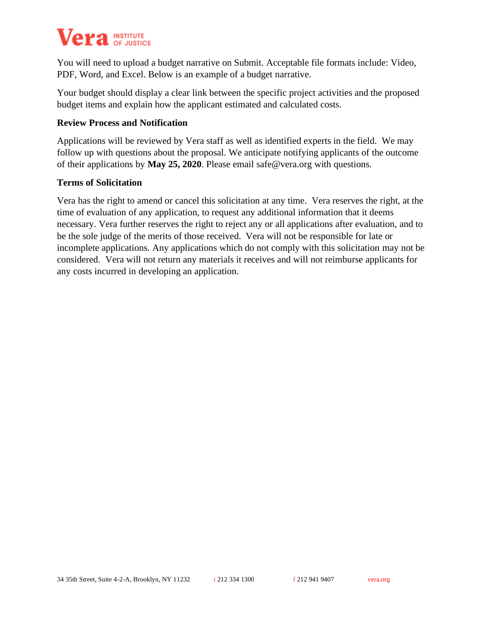You will need to upload a budget narrative on Submit. Acceptable file formats include: Video, PDF, Word, and Excel. Below is an example of a budget narrative.

Your budget should display a clear link between the specific project activities and the proposed budget items and explain how the applicant estimated and calculated costs.

## **Review Process and Notification**

Applications will be reviewed by Vera staff as well as identified experts in the field. We may follow up with questions about the proposal. We anticipate notifying applicants of the outcome of their applications by **May 25, 2020**. Please email safe@vera.org with questions.

## **Terms of Solicitation**

Vera has the right to amend or cancel this solicitation at any time. Vera reserves the right, at the time of evaluation of any application, to request any additional information that it deems necessary. Vera further reserves the right to reject any or all applications after evaluation, and to be the sole judge of the merits of those received. Vera will not be responsible for late or incomplete applications. Any applications which do not comply with this solicitation may not be considered. Vera will not return any materials it receives and will not reimburse applicants for any costs incurred in developing an application.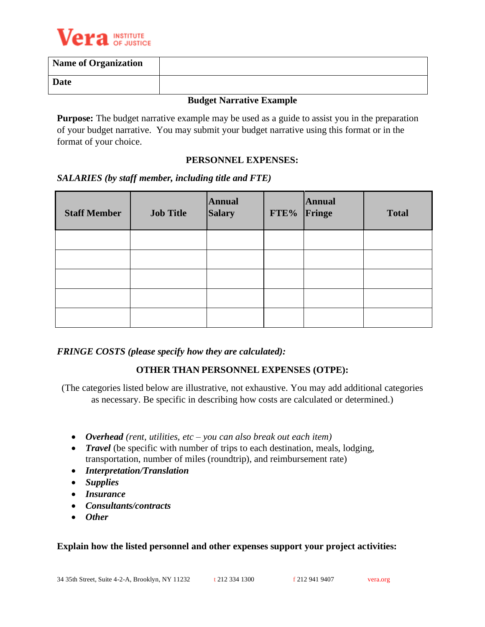

| <b>Name of Organization</b> |  |
|-----------------------------|--|
| <b>Date</b>                 |  |

## **Budget Narrative Example**

**Purpose:** The budget narrative example may be used as a guide to assist you in the preparation of your budget narrative. You may submit your budget narrative using this format or in the format of your choice.

#### **PERSONNEL EXPENSES:**

#### *SALARIES (by staff member, including title and FTE)*

| <b>Staff Member</b> | <b>Job Title</b> | <b>Annual</b><br><b>Salary</b> | FTE% Fringe | <b>Annual</b> | <b>Total</b> |
|---------------------|------------------|--------------------------------|-------------|---------------|--------------|
|                     |                  |                                |             |               |              |
|                     |                  |                                |             |               |              |
|                     |                  |                                |             |               |              |
|                     |                  |                                |             |               |              |
|                     |                  |                                |             |               |              |

#### *FRINGE COSTS (please specify how they are calculated):*

# **OTHER THAN PERSONNEL EXPENSES (OTPE):**

(The categories listed below are illustrative, not exhaustive. You may add additional categories as necessary. Be specific in describing how costs are calculated or determined.)

- *Overhead (rent, utilities, etc – you can also break out each item)*
- *Travel* (be specific with number of trips to each destination, meals, lodging, transportation, number of miles (roundtrip), and reimbursement rate)
- *Interpretation/Translation*
- *Supplies*
- *Insurance*
- *Consultants/contracts*
- *Other*

#### **Explain how the listed personnel and other expenses support your project activities:**